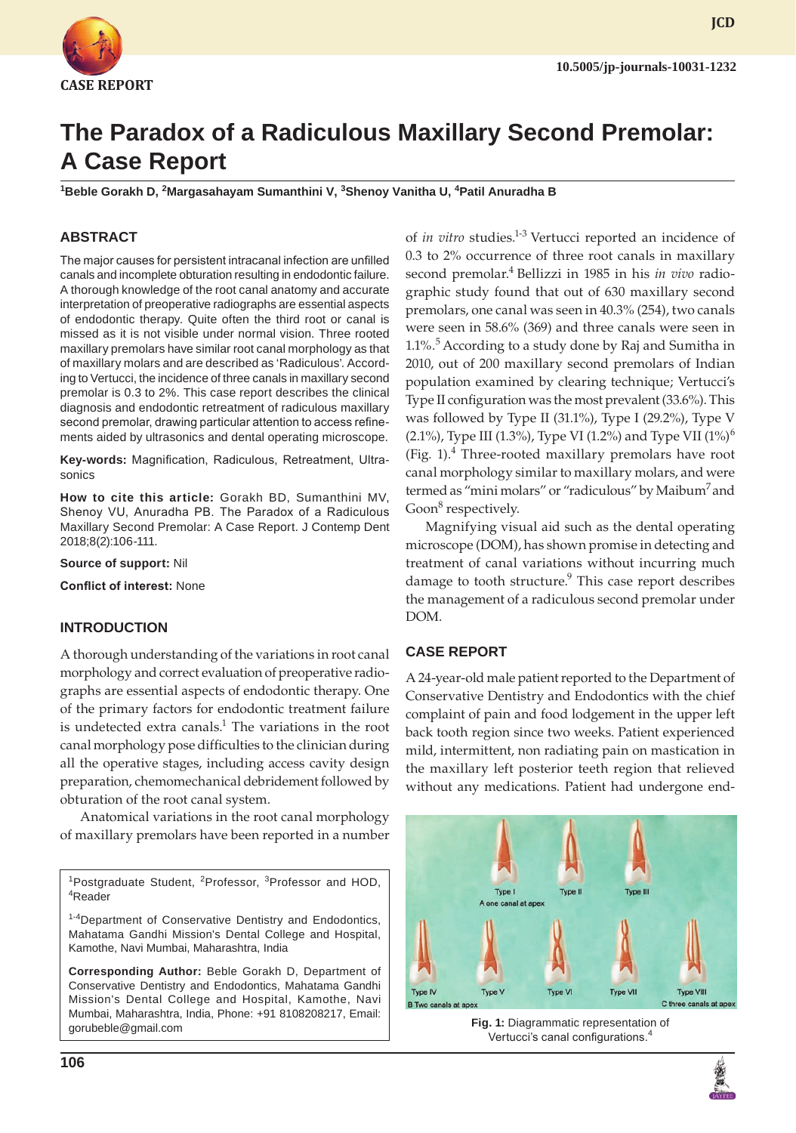

**JCD**

# **The Paradox of a Radiculous Maxillary Second Premolar: A Case Report**

**1 Beble Gorakh D, 2 Margasahayam Sumanthini V, 3 Shenoy Vanitha U, 4 Patil Anuradha B**

# **ABSTRACT**

The major causes for persistent intracanal infection are unfilled canals and incomplete obturation resulting in endodontic failure. A thorough knowledge of the root canal anatomy and accurate interpretation of preoperative radiographs are essential aspects of endodontic therapy. Quite often the third root or canal is missed as it is not visible under normal vision. Three rooted maxillary premolars have similar root canal morphology as that of maxillary molars and are described as 'Radiculous'. According to Vertucci, the incidence of three canals in maxillary second premolar is 0.3 to 2%. This case report describes the clinical diagnosis and endodontic retreatment of radiculous maxillary second premolar, drawing particular attention to access refinements aided by ultrasonics and dental operating microscope.

**Key-words:** Magnification, Radiculous, Retreatment, Ultrasonics

**How to cite this article:** Gorakh BD, Sumanthini MV, Shenoy VU, Anuradha PB. The Paradox of a Radiculous Maxillary Second Premolar: A Case Report. J Contemp Dent 2018;8(2):106-111.

**Source of support:** Nil

**Conflict of interest:** None

## **INTRODUCTION**

A thorough understanding of the variations in root canal morphology and correct evaluation of preoperative radiographs are essential aspects of endodontic therapy. One of the primary factors for endodontic treatment failure is undetected extra canals.<sup>1</sup> The variations in the root canal morphology pose difficulties to the clinician during all the operative stages, including access cavity design preparation, chemomechanical debridement followed by obturation of the root canal system.

Anatomical variations in the root canal morphology of maxillary premolars have been reported in a number

<sup>1</sup>Postgraduate Student, <sup>2</sup>Professor, <sup>3</sup>Professor and HOD, Reader

1-4Department of Conservative Dentistry and Endodontics, Mahatama Gandhi Mission's Dental College and Hospital, Kamothe, Navi Mumbai, Maharashtra, India

**Corresponding Author:** Beble Gorakh D, Department of Conservative Dentistry and Endodontics, Mahatama Gandhi Mission's Dental College and Hospital, Kamothe, Navi Mumbai, Maharashtra, India, Phone: +91 8108208217, Email: gorubeble@gmail.com

0.3 to 2% occurrence of three root canals in maxillary second premolar.4 Bellizzi in 1985 in his *in vivo* radiographic study found that out of 630 maxillary second premolars, one canal was seen in 40.3% (254), two canals were seen in 58.6% (369) and three canals were seen in 1.1%. $5$  According to a study done by Raj and Sumitha in 2010, out of 200 maxillary second premolars of Indian population examined by clearing technique; Vertucci's Type II configuration was the most prevalent (33.6%). This was followed by Type II (31.1%), Type I (29.2%), Type V (2.1%), Type III (1.3%), Type VI (1.2%) and Type VII (1%)<sup>6</sup> (Fig.  $1$ ).<sup>4</sup> Three-rooted maxillary premolars have root canal morphology similar to maxillary molars, and were termed as "mini molars" or "radiculous" by Maibum' and Goon<sup>8</sup> respectively. Magnifying visual aid such as the dental operating

of *in vitro* studies.<sup>1-3</sup> Vertucci reported an incidence of

microscope (DOM), has shown promise in detecting and treatment of canal variations without incurring much damage to tooth structure.<sup>9</sup> This case report describes the management of a radiculous second premolar under DOM.

## **CASE REPORT**

A 24-year-old male patient reported to the Department of Conservative Dentistry and Endodontics with the chief complaint of pain and food lodgement in the upper left back tooth region since two weeks. Patient experienced mild, intermittent, non radiating pain on mastication in the maxillary left posterior teeth region that relieved without any medications. Patient had undergone end-



**Fig. 1:** Diagrammatic representation of Vertucci's canal configurations.<sup>4</sup>

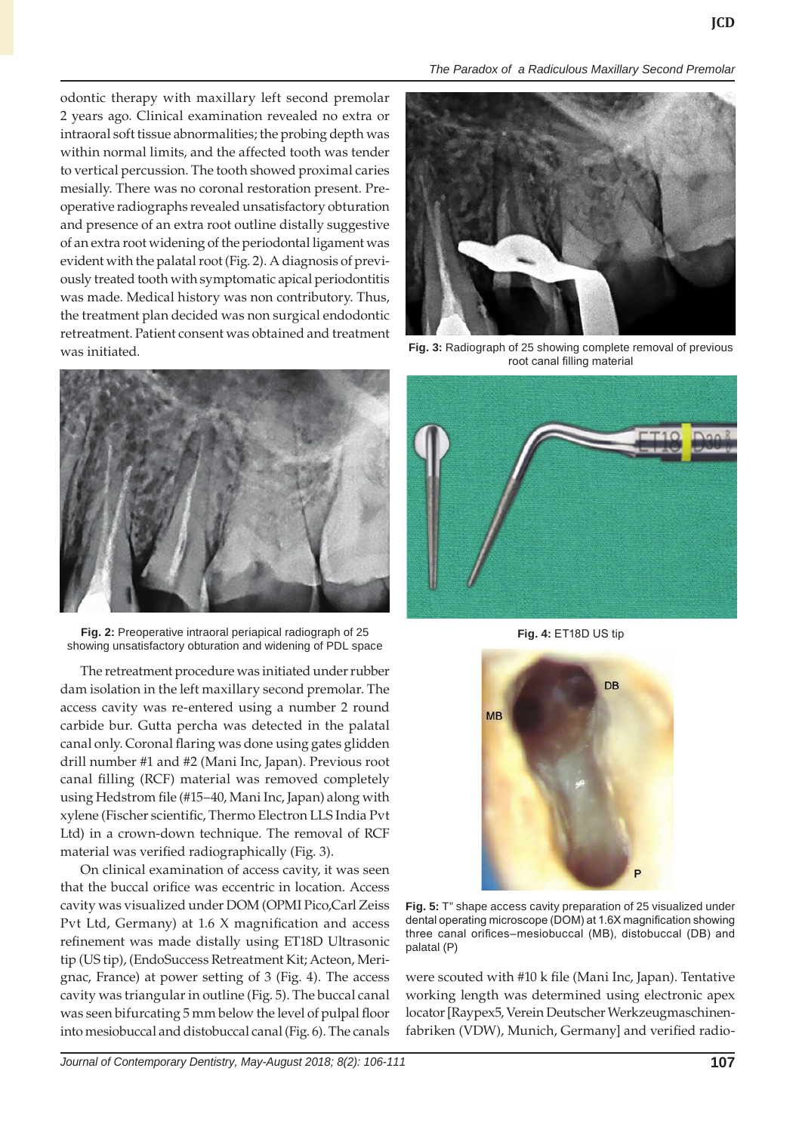odontic therapy with maxillary left second premolar 2 years ago. Clinical examination revealed no extra or intraoral soft tissue abnormalities; the probing depth was within normal limits, and the affected tooth was tender to vertical percussion. The tooth showed proximal caries mesially. There was no coronal restoration present. Preoperative radiographs revealed unsatisfactory obturation and presence of an extra root outline distally suggestive of an extra root widening of the periodontal ligament was evident with the palatal root (Fig. 2). A diagnosis of previously treated tooth with symptomatic apical periodontitis was made. Medical history was non contributory. Thus, the treatment plan decided was non surgical endodontic retreatment. Patient consent was obtained and treatment was initiated.



**Fig. 2:** Preoperative intraoral periapical radiograph of 25 showing unsatisfactory obturation and widening of PDL space

The retreatment procedure was initiated under rubber dam isolation in the left maxillary second premolar. The access cavity was re-entered using a number 2 round carbide bur. Gutta percha was detected in the palatal canal only. Coronal flaring was done using gates glidden drill number #1 and #2 (Mani Inc, Japan). Previous root canal filling (RCF) material was removed completely using Hedstrom file (#15–40, Mani Inc, Japan) along with xylene (Fischer scientific, Thermo Electron LLS India Pvt Ltd) in a crown-down technique. The removal of RCF material was verified radiographically (Fig. 3).

On clinical examination of access cavity, it was seen that the buccal orifice was eccentric in location. Access cavity was visualized under DOM (OPMI Pico,Carl Zeiss Pvt Ltd, Germany) at 1.6 X magnification and access refinement was made distally using ET18D Ultrasonic tip (US tip), (EndoSuccess Retreatment Kit; Acteon, Merignac, France) at power setting of 3 (Fig. 4). The access cavity was triangular in outline (Fig. 5). The buccal canal was seen bifurcating 5 mm below the level of pulpal floor into mesiobuccal and distobuccal canal (Fig. 6). The canals





**Fig. 3:** Radiograph of 25 showing complete removal of previous root canal filling material



**Fig. 4:** ET18D US tip



**Fig. 5:** T" shape access cavity preparation of 25 visualized under dental operating microscope (DOM) at 1.6X magnification showing three canal orifices–mesiobuccal (MB), distobuccal (DB) and palatal (P)

were scouted with #10 k file (Mani Inc, Japan). Tentative working length was determined using electronic apex locator [Raypex5, Verein Deutscher Werkzeugmaschinenfabriken (VDW), Munich, Germany] and verified radio-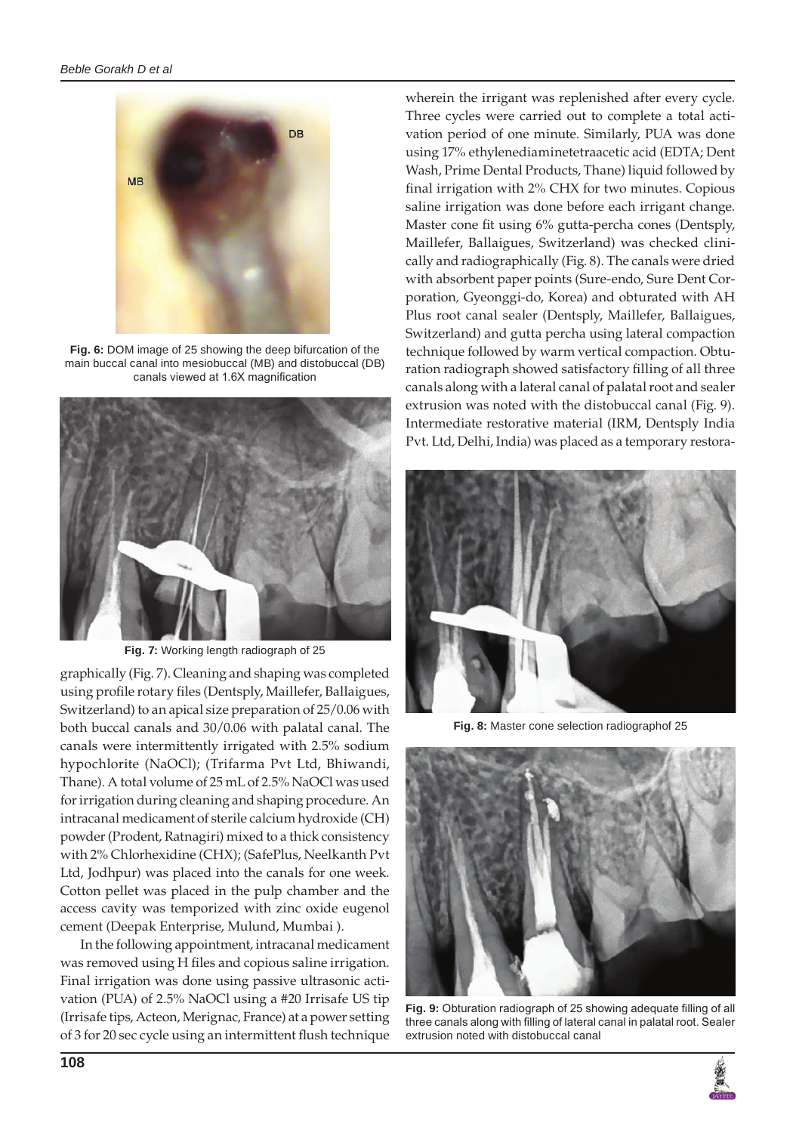

**Fig. 6:** DOM image of 25 showing the deep bifurcation of the main buccal canal into mesiobuccal (MB) and distobuccal (DB) canals viewed at 1.6X magnification



**Fig. 7:** Working length radiograph of 25

graphically (Fig. 7). Cleaning and shaping was completed using profile rotary files (Dentsply, Maillefer, Ballaigues, Switzerland) to an apical size preparation of 25/0.06 with both buccal canals and 30/0.06 with palatal canal. The canals were intermittently irrigated with 2.5% sodium hypochlorite (NaOCl); (Trifarma Pvt Ltd, Bhiwandi, Thane). A total volume of 25 mL of 2.5% NaOCl was used for irrigation during cleaning and shaping procedure. An intracanal medicament of sterile calcium hydroxide (CH) powder (Prodent, Ratnagiri) mixed to a thick consistency with 2% Chlorhexidine (CHX); (SafePlus, Neelkanth Pvt Ltd, Jodhpur) was placed into the canals for one week. Cotton pellet was placed in the pulp chamber and the access cavity was temporized with zinc oxide eugenol cement (Deepak Enterprise, Mulund, Mumbai ).

In the following appointment, intracanal medicament was removed using H files and copious saline irrigation. Final irrigation was done using passive ultrasonic activation (PUA) of 2.5% NaOCl using a #20 Irrisafe US tip (Irrisafe tips, Acteon, Merignac, France) at a power setting of 3 for 20 sec cycle using an intermittent flush technique

wherein the irrigant was replenished after every cycle. Three cycles were carried out to complete a total activation period of one minute. Similarly, PUA was done using 17% ethylenediaminetetraacetic acid (EDTA; Dent Wash, Prime Dental Products, Thane) liquid followed by final irrigation with 2% CHX for two minutes. Copious saline irrigation was done before each irrigant change. Master cone fit using 6% gutta-percha cones (Dentsply, Maillefer, Ballaigues, Switzerland) was checked clinically and radiographically (Fig. 8). The canals were dried with absorbent paper points (Sure-endo, Sure Dent Corporation*,* Gyeonggi-do, Korea) and obturated with AH Plus root canal sealer (Dentsply, Maillefer, Ballaigues, Switzerland) and gutta percha using lateral compaction technique followed by warm vertical compaction. Obturation radiograph showed satisfactory filling of all three canals along with a lateral canal of palatal root and sealer extrusion was noted with the distobuccal canal (Fig. 9). Intermediate restorative material (IRM, Dentsply India Pvt. Ltd, Delhi, India) was placed as a temporary restora-



**Fig. 8:** Master cone selection radiographof 25



**Fig. 9:** Obturation radiograph of 25 showing adequate filling of all three canals along with filling of lateral canal in palatal root. Sealer extrusion noted with distobuccal canal

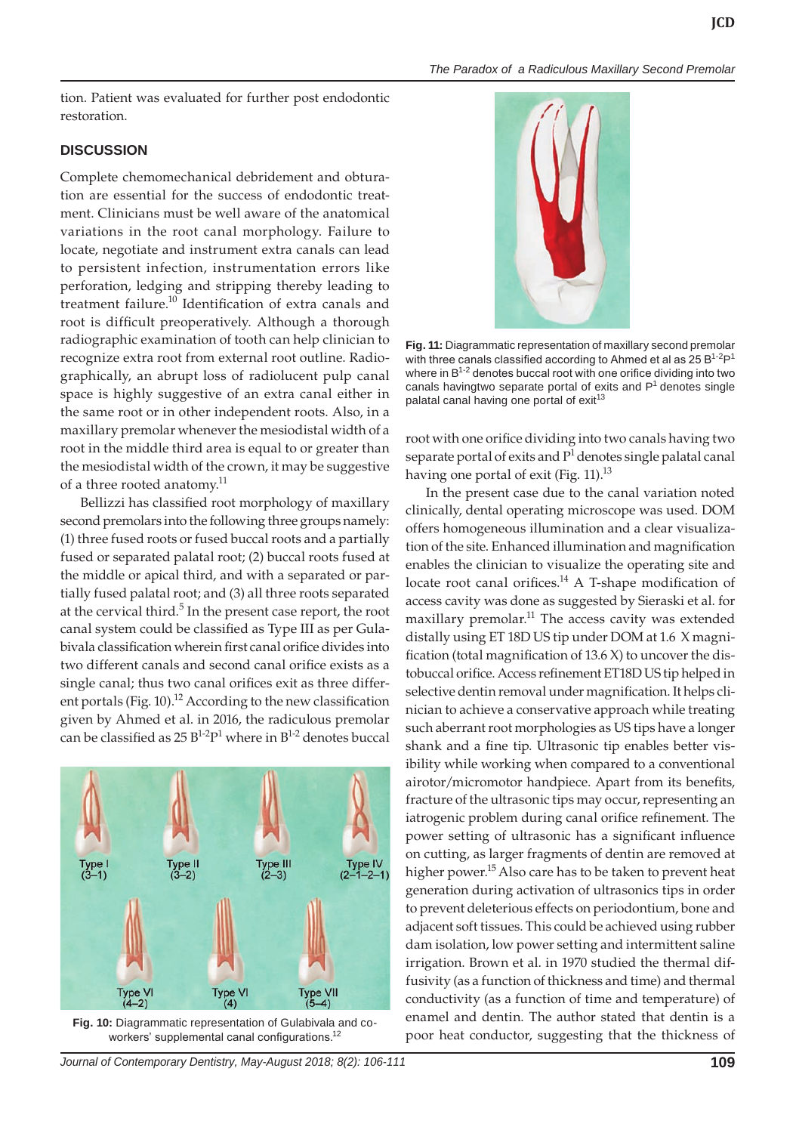*The Paradox of a Radiculous Maxillary Second Premolar*

tion. Patient was evaluated for further post endodontic restoration.

#### **DISCUSSION**

Complete chemomechanical debridement and obturation are essential for the success of endodontic treatment. Clinicians must be well aware of the anatomical variations in the root canal morphology. Failure to locate, negotiate and instrument extra canals can lead to persistent infection, instrumentation errors like perforation, ledging and stripping thereby leading to treatment failure.<sup>10</sup> Identification of extra canals and root is difficult preoperatively. Although a thorough radiographic examination of tooth can help clinician to recognize extra root from external root outline. Radiographically, an abrupt loss of radiolucent pulp canal space is highly suggestive of an extra canal either in the same root or in other independent roots. Also, in a maxillary premolar whenever the mesiodistal width of a root in the middle third area is equal to or greater than the mesiodistal width of the crown, it may be suggestive of a three rooted anatomy.<sup>11</sup>

Bellizzi has classified root morphology of maxillary second premolars into the following three groups namely: (1) three fused roots or fused buccal roots and a partially fused or separated palatal root; (2) buccal roots fused at the middle or apical third, and with a separated or partially fused palatal root; and (3) all three roots separated at the cervical third.<sup>5</sup> In the present case report, the root canal system could be classified as Type III as per Gulabivala classification wherein first canal orifice divides into two different canals and second canal orifice exists as a single canal; thus two canal orifices exit as three different portals (Fig. 10).<sup>12</sup> According to the new classification given by Ahmed et al. in 2016, the radiculous premolar can be classified as  $25 B^{1-2}P^1$  where in  $B^{1-2}$  denotes buccal



**Fig. 10:** Diagrammatic representation of Gulabivala and coworkers' supplemental canal configurations.<sup>12</sup>

*Journal of Contemporary Dentistry, May-August 2018; 8(2): 106-111* **109**



**Fig. 11:** Diagrammatic representation of maxillary second premolar with three canals classified according to Ahmed et al as  $25 B^{1-2}P^1$ where in  $B^{1-2}$  denotes buccal root with one orifice dividing into two canals havingtwo separate portal of exits and  $P<sup>1</sup>$  denotes single palatal canal having one portal of exit<sup>13</sup>

root with one orifice dividing into two canals having two separate portal of exits and  $P<sup>1</sup>$  denotes single palatal canal having one portal of exit (Fig. 11).<sup>13</sup>

In the present case due to the canal variation noted clinically, dental operating microscope was used. DOM offers homogeneous illumination and a clear visualization of the site. Enhanced illumination and magnification enables the clinician to visualize the operating site and locate root canal orifices.<sup>14</sup> A T-shape modification of access cavity was done as suggested by Sieraski et al. for maxillary premolar.<sup>11</sup> The access cavity was extended distally using ET 18D US tip under DOM at 1.6 X magnification (total magnification of 13.6 X) to uncover the distobuccal orifice. Access refinement ET18D US tip helped in selective dentin removal under magnification. It helps clinician to achieve a conservative approach while treating such aberrant root morphologies as US tips have a longer shank and a fine tip. Ultrasonic tip enables better visibility while working when compared to a conventional airotor/micromotor handpiece. Apart from its benefits, fracture of the ultrasonic tips may occur, representing an iatrogenic problem during canal orifice refinement. The power setting of ultrasonic has a significant influence on cutting, as larger fragments of dentin are removed at higher power.<sup>15</sup> Also care has to be taken to prevent heat generation during activation of ultrasonics tips in order to prevent deleterious effects on periodontium, bone and adjacent soft tissues. This could be achieved using rubber dam isolation, low power setting and intermittent saline irrigation. Brown et al. in 1970 studied the thermal diffusivity (as a function of thickness and time) and thermal conductivity (as a function of time and temperature) of enamel and dentin. The author stated that dentin is a poor heat conductor, suggesting that the thickness of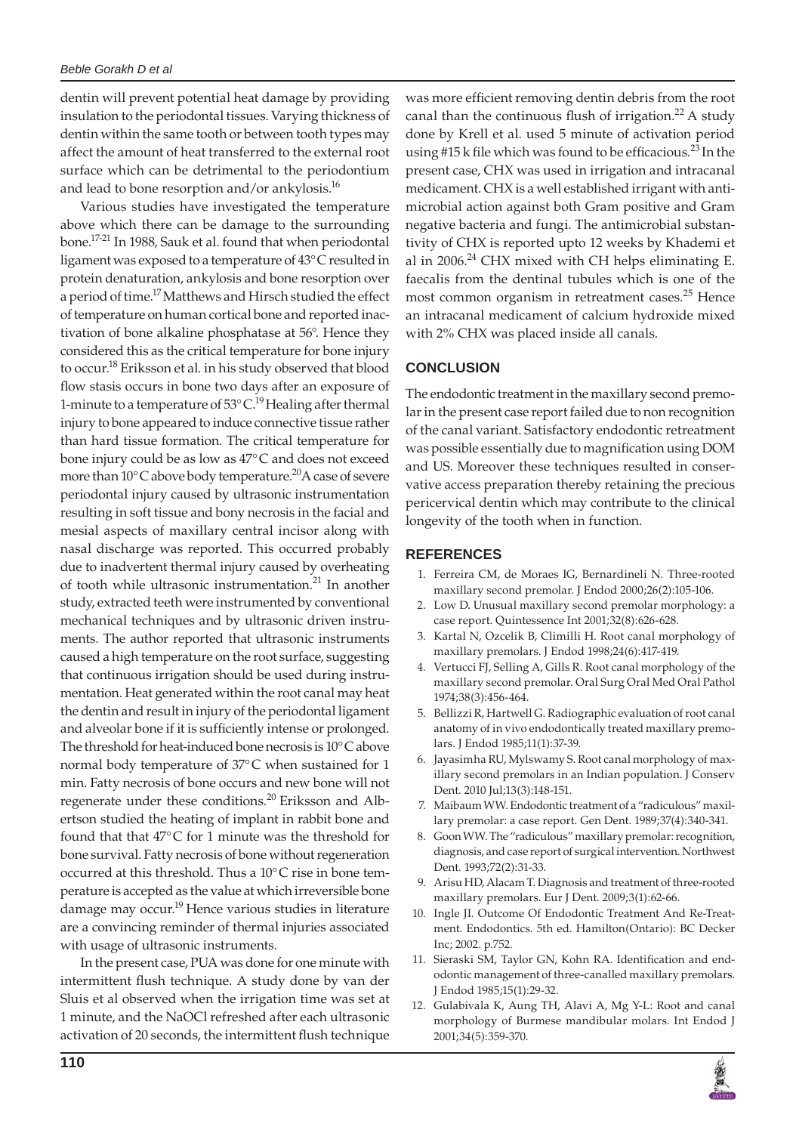#### *Beble Gorakh D et al*

dentin will prevent potential heat damage by providing insulation to the periodontal tissues. Varying thickness of dentin within the same tooth or between tooth types may affect the amount of heat transferred to the external root surface which can be detrimental to the periodontium and lead to bone resorption and/or ankylosis.<sup>16</sup>

Various studies have investigated the temperature above which there can be damage to the surrounding bone.17-21 In 1988, Sauk et al. found that when periodontal ligament was exposed to a temperature of 43°C resulted in protein denaturation, ankylosis and bone resorption over a period of time.<sup>17</sup> Matthews and Hirsch studied the effect of temperature on human cortical bone and reported inactivation of bone alkaline phosphatase at 56°. Hence they considered this as the critical temperature for bone injury to occur.<sup>18</sup> Eriksson et al. in his study observed that blood flow stasis occurs in bone two days after an exposure of 1-minute to a temperature of  $53^{\circ}$ C.<sup>19</sup> Healing after thermal injury to bone appeared to induce connective tissue rather than hard tissue formation. The critical temperature for bone injury could be as low as 47°C and does not exceed more than  $10^{\circ}$ C above body temperature.<sup>20</sup>A case of severe periodontal injury caused by ultrasonic instrumentation resulting in soft tissue and bony necrosis in the facial and mesial aspects of maxillary central incisor along with nasal discharge was reported. This occurred probably due to inadvertent thermal injury caused by overheating of tooth while ultrasonic instrumentation.<sup>21</sup> In another study, extracted teeth were instrumented by conventional mechanical techniques and by ultrasonic driven instruments. The author reported that ultrasonic instruments caused a high temperature on the root surface, suggesting that continuous irrigation should be used during instrumentation. Heat generated within the root canal may heat the dentin and result in injury of the periodontal ligament and alveolar bone if it is sufficiently intense or prolonged. The threshold for heat-induced bone necrosis is 10°C above normal body temperature of 37°C when sustained for 1 min. Fatty necrosis of bone occurs and new bone will not regenerate under these conditions.<sup>20</sup> Eriksson and Albertson studied the heating of implant in rabbit bone and found that that 47°C for 1 minute was the threshold for bone survival. Fatty necrosis of bone without regeneration occurred at this threshold. Thus a 10°C rise in bone temperature is accepted as the value at which irreversible bone damage may occur.<sup>19</sup> Hence various studies in literature are a convincing reminder of thermal injuries associated with usage of ultrasonic instruments.

In the present case, PUA was done for one minute with intermittent flush technique. A study done by van der Sluis et al observed when the irrigation time was set at 1 minute, and the NaOCl refreshed after each ultrasonic activation of 20 seconds, the intermittent flush technique

was more efficient removing dentin debris from the root canal than the continuous flush of irrigation.<sup>22</sup> A study done by Krell et al. used 5 minute of activation period using #15 k file which was found to be efficacious.<sup>23</sup> In the present case, CHX was used in irrigation and intracanal medicament. CHX is a well established irrigant with antimicrobial action against both Gram positive and Gram negative bacteria and fungi. The antimicrobial substantivity of CHX is reported upto 12 weeks by Khademi et al in 2006.<sup>24</sup> CHX mixed with CH helps eliminating E. faecalis from the dentinal tubules which is one of the most common organism in retreatment cases.<sup>25</sup> Hence an intracanal medicament of calcium hydroxide mixed with 2% CHX was placed inside all canals.

## **CONCLUSION**

The endodontic treatment in the maxillary second premolar in the present case report failed due to non recognition of the canal variant. Satisfactory endodontic retreatment was possible essentially due to magnification using DOM and US. Moreover these techniques resulted in conservative access preparation thereby retaining the precious pericervical dentin which may contribute to the clinical longevity of the tooth when in function.

#### **REFERENCES**

- 1. Ferreira CM, de Moraes IG, Bernardineli N. Three-rooted maxillary second premolar. J Endod 2000;26(2):105-106.
- 2. Low D. Unusual maxillary second premolar morphology: a case report. Quintessence Int 2001;32(8):626-628.
- 3. Kartal N, Ozcelik B, Climilli H. Root canal morphology of maxillary premolars. J Endod 1998;24(6):417-419.
- 4. Vertucci FJ, Selling A, Gills R. Root canal morphology of the maxillary second premolar. Oral Surg Oral Med Oral Pathol 1974;38(3):456-464.
- 5. Bellizzi R, Hartwell G. Radiographic evaluation of root canal anatomy of in vivo endodontically treated maxillary premolars. J Endod 1985;11(1):37-39.
- 6. Jayasimha RU, Mylswamy S. Root canal morphology of maxillary second premolars in an Indian population. J Conserv Dent. 2010 Jul;13(3):148-151.
- 7. Maibaum WW. Endodontic treatment of a "radiculous" maxillary premolar: a case report. Gen Dent. 1989;37(4):340-341.
- 8. Goon WW. The "radiculous" maxillary premolar: recognition, diagnosis, and case report of surgical intervention. Northwest Dent. 1993;72(2):31-33.
- 9. Arisu HD, Alacam T. Diagnosis and treatment of three-rooted maxillary premolars. Eur J Dent. 2009;3(1):62-66.
- Ingle JI. Outcome Of Endodontic Treatment And Re-Treatment. Endodontics. 5th ed. Hamilton(Ontario): BC Decker Inc; 2002. p.752.
- 11. Sieraski SM, Taylor GN, Kohn RA. Identification and endodontic management of three-canalled maxillary premolars. J Endod 1985;15(1):29-32.
- 12. Gulabivala K, Aung TH, Alavi A, Mg Y-L: Root and canal morphology of Burmese mandibular molars. Int Endod J 2001;34(5):359-370.